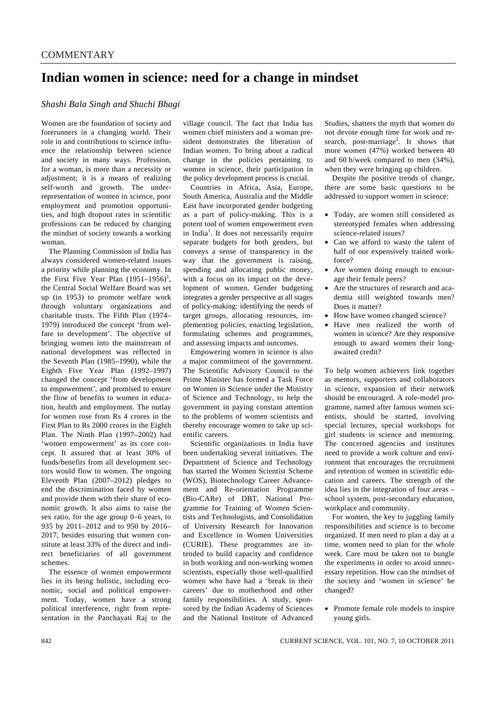## **Indian women in science: need for a change in mindset**

### *Shashi Bala Singh and Shuchi Bhagi*

Women are the foundation of society and forerunners in a changing world. Their role in and contributions to science influence the relationship between science and society in many ways. Profession, for a woman, is more than a necessity or adjustment; it is a means of realizing self-worth and growth. The underrepresentation of women in science, poor employment and promotion opportunities, and high dropout rates in scientific professions can be reduced by changing the mindset of society towards a working woman.

 The Planning Commission of India has always considered women-related issues a priority while planning the economy. In the First Five Year Plan  $(1951-1956)^1$ , the Central Social Welfare Board was set up (in 1953) to promote welfare work through voluntary organizations and charitable trusts. The Fifth Plan (1974– 1979) introduced the concept 'from welfare to development'. The objective of bringing women into the mainstream of national development was reflected in the Seventh Plan (1985–1990), while the Eighth Five Year Plan (1992–1997) changed the concept 'from development to empowerment', and promised to ensure the flow of benefits to women in education, health and employment. The outlay for women rose from Rs 4 crores in the First Plan to Rs 2000 crores in the Eighth Plan. The Ninth Plan (1997–2002) had 'women empowerment' as its core concept. It assured that at least 30% of funds/benefits from all development sectors would flow to women. The ongoing Eleventh Plan (2007–2012) pledges to end the discrimination faced by women and provide them with their share of economic growth. It also aims to raise the sex ratio, for the age group 0–6 years, to 935 by 2011–2012 and to 950 by 2016– 2017, besides ensuring that women constitute at least 33% of the direct and indirect beneficiaries of all government schemes.

 The essence of women empowerment lies in its being holistic, including economic, social and political empowerment. Today, women have a strong political interference, right from representation in the Panchayati Raj to the

village council. The fact that India has women chief ministers and a woman president demonstrates the liberation of Indian women. To bring about a radical change in the policies pertaining to women in science, their participation in the policy development process is crucial.

 Countries in Africa, Asia, Europe, South America, Australia and the Middle East have incorporated gender budgeting as a part of policy-making. This is a potent tool of women empowerment even in India<sup>1</sup>. It does not necessarily require separate budgets for both genders, but conveys a sense of transparency in the way that the government is raising. spending and allocating public money, with a focus on its impact on the development of women. Gender budgeting integrates a gender perspective at all stages of policy-making: identifying the needs of target groups, allocating resources, implementing policies, enacting legislation, formulating schemes and programmes, and assessing impacts and outcomes.

 Empowering women in science is also a major commitment of the government. The Scientific Advisory Council to the Prime Minister has formed a Task Force on Women in Science under the Ministry of Science and Technology, to help the government in paying constant attention to the problems of women scientists and thereby encourage women to take up scientific careers.

 Scientific organizations in India have been undertaking several initiatives. The Department of Science and Technology has started the Women Scientist Scheme (WOS), Biotechnology Career Advancement and Re-orientation Programme (Bio-CARe) of DBT, National Programme for Training of Women Scientists and Technologists, and Consolidation of University Research for Innovation and Excellence in Women Universities (CURIE). These programmes are intended to build capacity and confidence in both working and non-working women scientists, especially those well-qualified women who have had a 'break in their careers' due to motherhood and other family responsibilities. A study, sponsored by the Indian Academy of Sciences and the National Institute of Advanced Studies, shatters the myth that women do not devote enough time for work and research, post-marriage<sup>2</sup>. It shows that more women (47%) worked between 40 and 60 h/week compared to men (34%), when they were bringing up children.

 Despite the positive trends of change, there are some basic questions to be addressed to support women in science:

- Today, are women still considered as stereotyped females when addressing science-related issues?
- Can we afford to waste the talent of half of our expensively trained workforce?
- Are women doing enough to encourage their female peers?
- Are the structures of research and academia still weighted towards men? Does it matter?
- How have women changed science?
- Have men realized the worth of women in science? Are they responsive enough to award women their longawaited credit?

To help women achievers link together as mentors, supporters and collaborators in science, expansion of their network should be encouraged. A role-model programme, named after famous women scientists, should be started, involving special lectures, special workshops for girl students in science and mentoring. The concerned agencies and institutes need to provide a work culture and environment that encourages the recruitment and retention of women in scientific education and careers. The strength of the idea lies in the integration of four areas – school system, post-secondary education, workplace and community.

For women, the key to juggling family responsibilities and science is to become organized. If men need to plan a day at a time, women need to plan for the whole week. Care must be taken not to bungle the experiments in order to avoid unnecessary repetition. How can the mindset of the society and 'women in science' be changed?

• Promote female role models to inspire young girls.